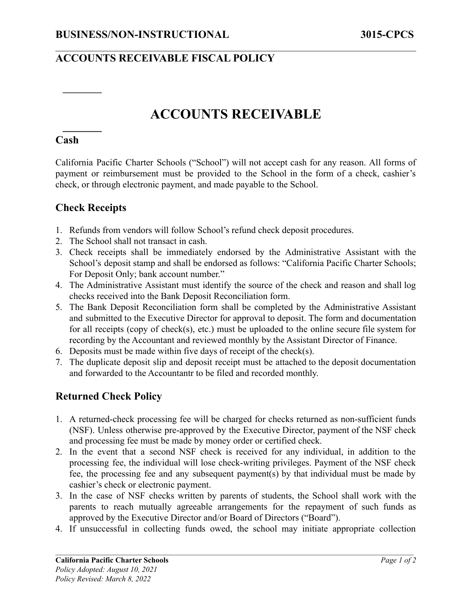## **ACCOUNTS RECEIVABLE FISCAL POLICY**

# **ACCOUNTS RECEIVABLE**

 $\mathcal{L}_\mathcal{L} = \{ \mathcal{L}_\mathcal{L} = \{ \mathcal{L}_\mathcal{L} = \{ \mathcal{L}_\mathcal{L} = \{ \mathcal{L}_\mathcal{L} = \{ \mathcal{L}_\mathcal{L} = \{ \mathcal{L}_\mathcal{L} = \{ \mathcal{L}_\mathcal{L} = \{ \mathcal{L}_\mathcal{L} = \{ \mathcal{L}_\mathcal{L} = \{ \mathcal{L}_\mathcal{L} = \{ \mathcal{L}_\mathcal{L} = \{ \mathcal{L}_\mathcal{L} = \{ \mathcal{L}_\mathcal{L} = \{ \mathcal{L}_\mathcal{$ 

#### **Cash**

California Pacific Charter Schools ("School") will not accept cash for any reason. All forms of payment or reimbursement must be provided to the School in the form of a check, cashier's check, or through electronic payment, and made payable to the School.

### **Check Receipts**

- 1. Refunds from vendors will follow School's refund check deposit procedures.
- 2. The School shall not transact in cash.
- 3. Check receipts shall be immediately endorsed by the Administrative Assistant with the School's deposit stamp and shall be endorsed as follows: "California Pacific Charter Schools; For Deposit Only; bank account number."
- 4. The Administrative Assistant must identify the source of the check and reason and shall log checks received into the Bank Deposit Reconciliation form.
- 5. The Bank Deposit Reconciliation form shall be completed by the Administrative Assistant and submitted to the Executive Director for approval to deposit. The form and documentation for all receipts (copy of check(s), etc.) must be uploaded to the online secure file system for recording by the Accountant and reviewed monthly by the Assistant Director of Finance.
- 6. Deposits must be made within five days of receipt of the check(s).
- 7. The duplicate deposit slip and deposit receipt must be attached to the deposit documentation and forwarded to the Accountantr to be filed and recorded monthly.

## **Returned Check Policy**

- 1. A returned-check processing fee will be charged for checks returned as non-sufficient funds (NSF). Unless otherwise pre-approved by the Executive Director, payment of the NSF check and processing fee must be made by money order or certified check.
- 2. In the event that a second NSF check is received for any individual, in addition to the processing fee, the individual will lose check-writing privileges. Payment of the NSF check fee, the processing fee and any subsequent payment(s) by that individual must be made by cashier's check or electronic payment.
- 3. In the case of NSF checks written by parents of students, the School shall work with the parents to reach mutually agreeable arrangements for the repayment of such funds as approved by the Executive Director and/or Board of Directors ("Board").
- 4. If unsuccessful in collecting funds owed, the school may initiate appropriate collection